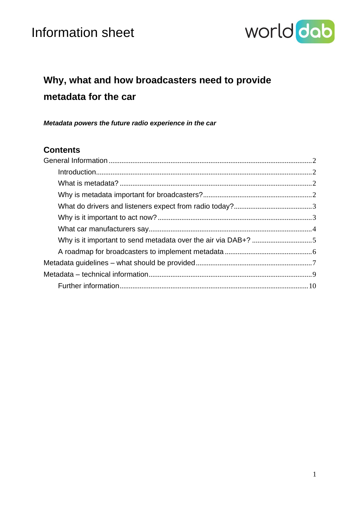

## **Why, what and how broadcasters need to provide metadata for the car**

*Metadata powers the future radio experience in the car*

## **Contents**

| Introduction 2                                                |  |
|---------------------------------------------------------------|--|
|                                                               |  |
|                                                               |  |
|                                                               |  |
|                                                               |  |
|                                                               |  |
| Why is it important to send metadata over the air via DAB+? 5 |  |
|                                                               |  |
|                                                               |  |
|                                                               |  |
|                                                               |  |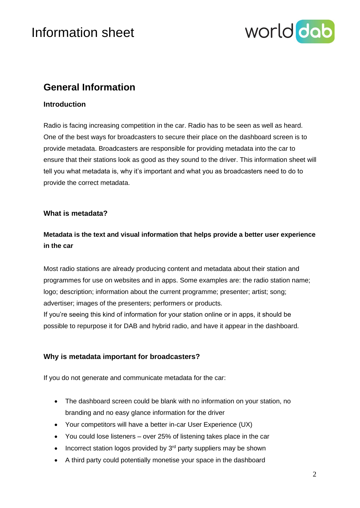

## <span id="page-1-0"></span>**General Information**

### <span id="page-1-1"></span>**Introduction**

Radio is facing increasing competition in the car. Radio has to be seen as well as heard. One of the best ways for broadcasters to secure their place on the dashboard screen is to provide metadata. Broadcasters are responsible for providing metadata into the car to ensure that their stations look as good as they sound to the driver. This information sheet will tell you what metadata is, why it's important and what you as broadcasters need to do to provide the correct metadata.

### <span id="page-1-2"></span>**What is metadata?**

## **Metadata is the text and visual information that helps provide a better user experience in the car**

Most radio stations are already producing content and metadata about their station and programmes for use on websites and in apps. Some examples are: the radio station name; logo; description; information about the current programme; presenter; artist; song; advertiser; images of the presenters; performers or products.

If you're seeing this kind of information for your station online or in apps, it should be possible to repurpose it for DAB and hybrid radio, and have it appear in the dashboard.

## <span id="page-1-3"></span>**Why is metadata important for broadcasters?**

If you do not generate and communicate metadata for the car:

- The dashboard screen could be blank with no information on your station, no branding and no easy glance information for the driver
- Your competitors will have a better in-car User Experience (UX)
- You could lose listeners over 25% of listening takes place in the car
- Incorrect station logos provided by  $3<sup>rd</sup>$  party suppliers may be shown
- A third party could potentially monetise your space in the dashboard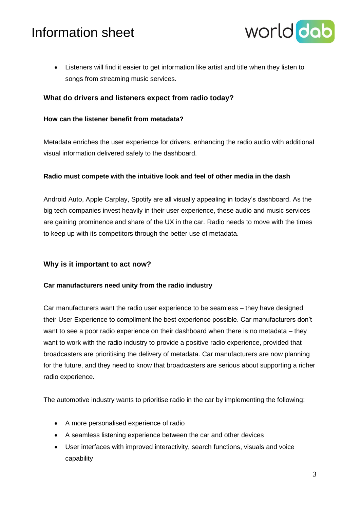

• Listeners will find it easier to get information like artist and title when they listen to songs from streaming music services.

### <span id="page-2-0"></span>**What do drivers and listeners expect from radio today?**

#### **How can the listener benefit from metadata?**

Metadata enriches the user experience for drivers, enhancing the radio audio with additional visual information delivered safely to the dashboard.

#### **Radio must compete with the intuitive look and feel of other media in the dash**

Android Auto, Apple Carplay, Spotify are all visually appealing in today's dashboard. As the big tech companies invest heavily in their user experience, these audio and music services are gaining prominence and share of the UX in the car. Radio needs to move with the times to keep up with its competitors through the better use of metadata.

### <span id="page-2-1"></span>**Why is it important to act now?**

#### **Car manufacturers need unity from the radio industry**

Car manufacturers want the radio user experience to be seamless – they have designed their User Experience to compliment the best experience possible. Car manufacturers don't want to see a poor radio experience on their dashboard when there is no metadata – they want to work with the radio industry to provide a positive radio experience, provided that broadcasters are prioritising the delivery of metadata. Car manufacturers are now planning for the future, and they need to know that broadcasters are serious about supporting a richer radio experience.

The automotive industry wants to prioritise radio in the car by implementing the following:

- A more personalised experience of radio
- A seamless listening experience between the car and other devices
- User interfaces with improved interactivity, search functions, visuals and voice capability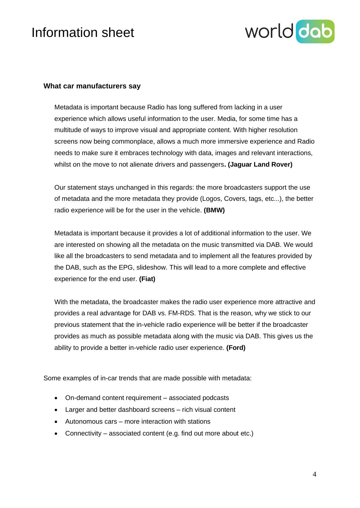

### <span id="page-3-0"></span>**What car manufacturers say**

Metadata is important because Radio has long suffered from lacking in a user experience which allows useful information to the user. Media, for some time has a multitude of ways to improve visual and appropriate content. With higher resolution screens now being commonplace, allows a much more immersive experience and Radio needs to make sure it embraces technology with data, images and relevant interactions, whilst on the move to not alienate drivers and passengers**. (Jaguar Land Rover)**

Our statement stays unchanged in this regards: the more broadcasters support the use of metadata and the more metadata they provide (Logos, Covers, tags, etc...), the better radio experience will be for the user in the vehicle. **(BMW)**

Metadata is important because it provides a lot of additional information to the user. We are interested on showing all the metadata on the music transmitted via DAB. We would like all the broadcasters to send metadata and to implement all the features provided by the DAB, such as the EPG, slideshow. This will lead to a more complete and effective experience for the end user. **(Fiat)**

With the metadata, the broadcaster makes the radio user experience more attractive and provides a real advantage for DAB vs. FM-RDS. That is the reason, why we stick to our previous statement that the in-vehicle radio experience will be better if the broadcaster provides as much as possible metadata along with the music via DAB. This gives us the ability to provide a better in-vehicle radio user experience. **(Ford)**

Some examples of in-car trends that are made possible with metadata:

- On-demand content requirement associated podcasts
- Larger and better dashboard screens rich visual content
- Autonomous cars more interaction with stations
- Connectivity associated content (e.g. find out more about etc.)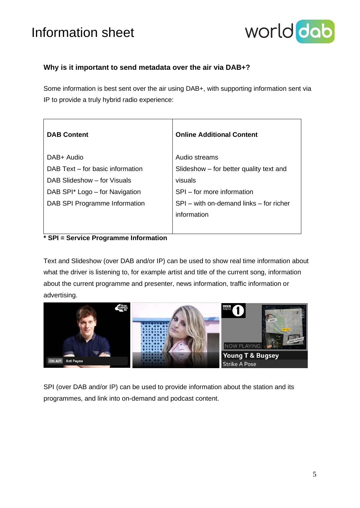

## <span id="page-4-0"></span>**Why is it important to send metadata over the air via DAB+?**

Some information is best sent over the air using DAB+, with supporting information sent via IP to provide a truly hybrid radio experience:

| <b>DAB Content</b>               | <b>Online Additional Content</b>        |
|----------------------------------|-----------------------------------------|
| DAB+ Audio                       | Audio streams                           |
| DAB Text - for basic information | Slideshow – for better quality text and |
| DAB Slideshow - for Visuals      | visuals                                 |
| DAB SPI* Logo - for Navigation   | SPI – for more information              |
| DAB SPI Programme Information    | SPI – with on-demand links – for richer |
|                                  | information                             |
|                                  |                                         |

## **\* SPI = Service Programme Information**

Text and Slideshow (over DAB and/or IP) can be used to show real time information about what the driver is listening to, for example artist and title of the current song, information about the current programme and presenter, news information, traffic information or advertising.



SPI (over DAB and/or IP) can be used to provide information about the station and its programmes, and link into on-demand and podcast content.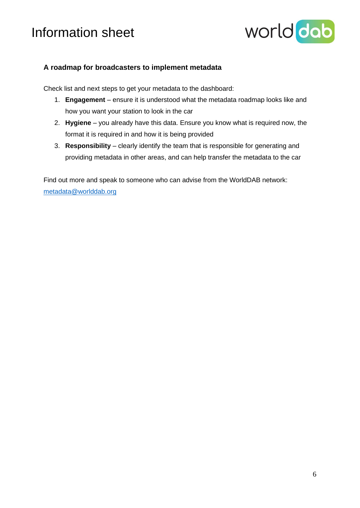

## <span id="page-5-0"></span>**A roadmap for broadcasters to implement metadata**

Check list and next steps to get your metadata to the dashboard:

- 1. **Engagement** ensure it is understood what the metadata roadmap looks like and how you want your station to look in the car
- 2. **Hygiene** you already have this data. Ensure you know what is required now, the format it is required in and how it is being provided
- 3. **Responsibility** clearly identify the team that is responsible for generating and providing metadata in other areas, and can help transfer the metadata to the car

Find out more and speak to someone who can advise from the WorldDAB network: [metadata@worlddab.org](mailto:metadata@worlddab.org)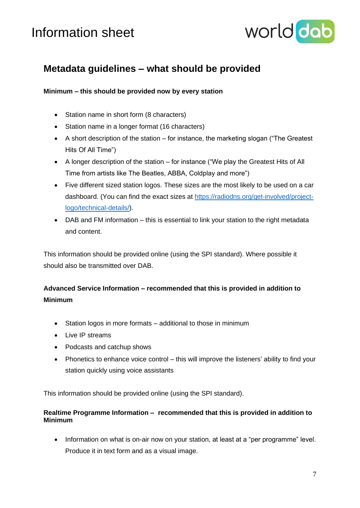

## <span id="page-6-0"></span>**Metadata guidelines – what should be provided**

### **Minimum – this should be provided now by every station**

- Station name in short form (8 characters)
- Station name in a longer format (16 characters)
- A short description of the station for instance, the marketing slogan ("The Greatest") Hits Of All Time")
- A longer description of the station for instance ("We play the Greatest Hits of All Time from artists like The Beatles, ABBA, Coldplay and more")
- Five different sized station logos. These sizes are the most likely to be used on a car dashboard. (You can find the exact sizes at [https://radiodns.org/get-involved/project](https://radiodns.org/get-involved/project-logo/technical-details/)[logo/technical-details/\)](https://radiodns.org/get-involved/project-logo/technical-details/).
- DAB and FM information this is essential to link your station to the right metadata and content.

This information should be provided online (using the SPI standard). Where possible it should also be transmitted over DAB.

## **Advanced Service Information – recommended that this is provided in addition to Minimum**

- Station logos in more formats additional to those in minimum
- Live IP streams
- Podcasts and catchup shows
- Phonetics to enhance voice control this will improve the listeners' ability to find your station quickly using voice assistants

This information should be provided online (using the SPI standard).

### **Realtime Programme Information – recommended that this is provided in addition to Minimum**

• Information on what is on-air now on your station, at least at a "per programme" level. Produce it in text form and as a visual image.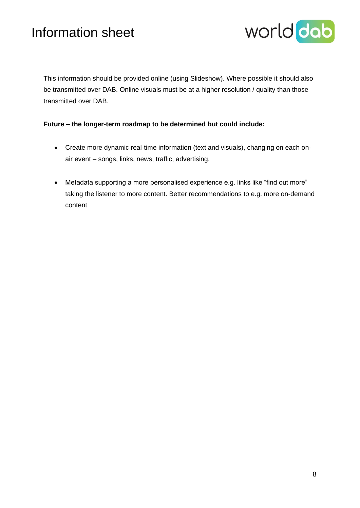

This information should be provided online (using Slideshow). Where possible it should also be transmitted over DAB. Online visuals must be at a higher resolution / quality than those transmitted over DAB.

### **Future – the longer-term roadmap to be determined but could include:**

- Create more dynamic real-time information (text and visuals), changing on each onair event – songs, links, news, traffic, advertising.
- Metadata supporting a more personalised experience e.g. links like "find out more" taking the listener to more content. Better recommendations to e.g. more on-demand content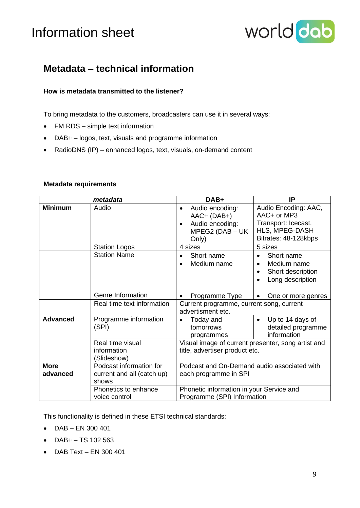

## <span id="page-8-0"></span>**Metadata – technical information**

### **How is metadata transmitted to the listener?**

To bring metadata to the customers, broadcasters can use it in several ways:

- FM RDS simple text information
- DAB+ logos, text, visuals and programme information
- RadioDNS (IP) enhanced logos, text, visuals, on-demand content

|                         | metadata                                                       | DAB+                                                                                                                                            | IP                                                                                                        |  |
|-------------------------|----------------------------------------------------------------|-------------------------------------------------------------------------------------------------------------------------------------------------|-----------------------------------------------------------------------------------------------------------|--|
| <b>Minimum</b>          | Audio                                                          | Audio encoding:<br>$\bullet$<br>$AAC+ (DAB+)$<br>Audio encoding:<br>$\bullet$<br>MPEG2 (DAB - UK<br>Only)                                       | Audio Encoding: AAC,<br>AAC+ or MP3<br>Transport: Icecast,<br>HLS, MPEG-DASH<br>Bitrates: 48-128kbps      |  |
|                         | <b>Station Logos</b>                                           | 4 sizes                                                                                                                                         | 5 sizes                                                                                                   |  |
|                         | <b>Station Name</b>                                            | Short name<br>$\bullet$<br>Medium name<br>$\bullet$                                                                                             | Short name<br>$\bullet$<br>Medium name<br>$\bullet$<br>Short description<br>$\bullet$<br>Long description |  |
|                         | Genre Information                                              | Programme Type<br>$\bullet$                                                                                                                     | One or more genres                                                                                        |  |
|                         | Real time text information                                     | Current programme, current song, current<br>advertisment etc.                                                                                   |                                                                                                           |  |
| <b>Advanced</b>         | Programme information<br>(SPI)                                 | Today and<br>$\bullet$<br>tomorrows<br>programmes                                                                                               | Up to 14 days of<br>$\bullet$<br>detailed programme<br>information                                        |  |
|                         | Real time visual<br>information<br>(Slideshow)                 | Visual image of current presenter, song artist and<br>title, advertiser product etc.                                                            |                                                                                                           |  |
| <b>More</b><br>advanced | Podcast information for<br>current and all (catch up)<br>shows | Podcast and On-Demand audio associated with<br>each programme in SPI<br>Phonetic information in your Service and<br>Programme (SPI) Information |                                                                                                           |  |
|                         | Phonetics to enhance<br>voice control                          |                                                                                                                                                 |                                                                                                           |  |

#### **Metadata requirements**

This functionality is defined in these ETSI technical standards:

- DAB EN 300 401
- $DAB + TS 102 563$
- DAB Text EN 300 401